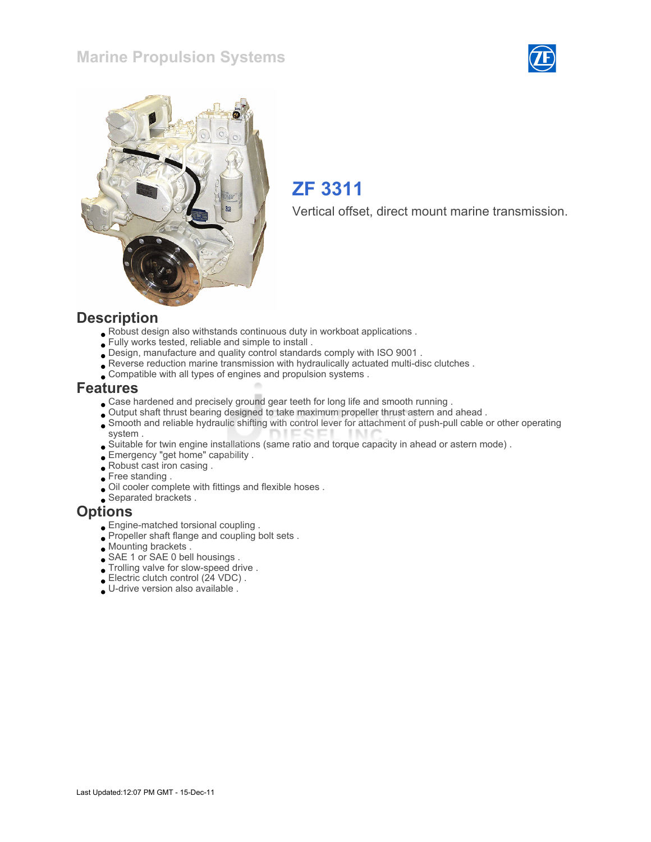### Marine Propulsion Systems





## ZF 3311

Vertical offset, direct mount marine transmission.

#### **Description**

- Robust design also withstands continuous duty in workboat applications .
- Fully works tested, reliable and simple to install .
- Design, manufacture and quality control standards comply with ISO 9001 .
- Reverse reduction marine transmission with hydraulically actuated multi-disc clutches .
- Compatible with all types of engines and propulsion systems .

#### Features

- Case hardened and precisely ground gear teeth for long life and smooth running .
- Output shaft thrust bearing designed to take maximum propeller thrust astern and ahead .
- Smooth and reliable hydraulic shifting with control lever for attachment of push-pull cable or other operating system .
- Suitable for twin engine installations (same ratio and torque capacity in ahead or astern mode) .
- Emergency "get home" capability .
- Robust cast iron casing .
- Free standing .
- Oil cooler complete with fittings and flexible hoses .
- Separated brackets .

#### **Options**

- Engine-matched torsional coupling .
- Propeller shaft flange and coupling bolt sets.
- Mounting brackets .
- SAE 1 or SAE 0 bell housings .
- Trolling valve for slow-speed drive .
- Electric clutch control (24 VDC) .
- U-drive version also available .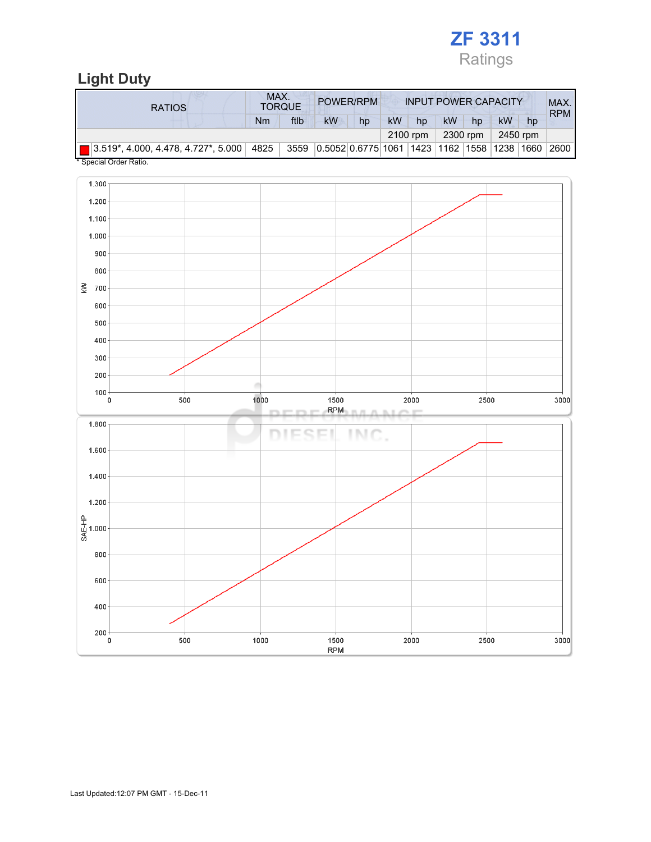

## Light Duty

| <b>RATIOS</b>                                                                     | MAX. | <b>TORQUE</b> | POWER/RPM                                        |    | <b>INPUT POWER CAPACITY</b> |    |           |    |    |    | MAX.<br><b>RPM</b> |
|-----------------------------------------------------------------------------------|------|---------------|--------------------------------------------------|----|-----------------------------|----|-----------|----|----|----|--------------------|
|                                                                                   | Nm   | ftlb          | kW                                               | hp | <b>kW</b>                   | hp | <b>kW</b> | hp | kW | hp |                    |
|                                                                                   |      | 2100 rpm      | 2300 rpm                                         |    | 2450 rpm                    |    |           |    |    |    |                    |
| $\boxed{ }$ 3.519*, 4.000, 4.478, 4.727*, 5.000 4825<br>$*$ Consider Order Detter |      |               | 3559 0.5052 0.6775 1061 1423 1162 1558 1238 1660 |    |                             |    |           |    |    |    | ່ 2600 I           |

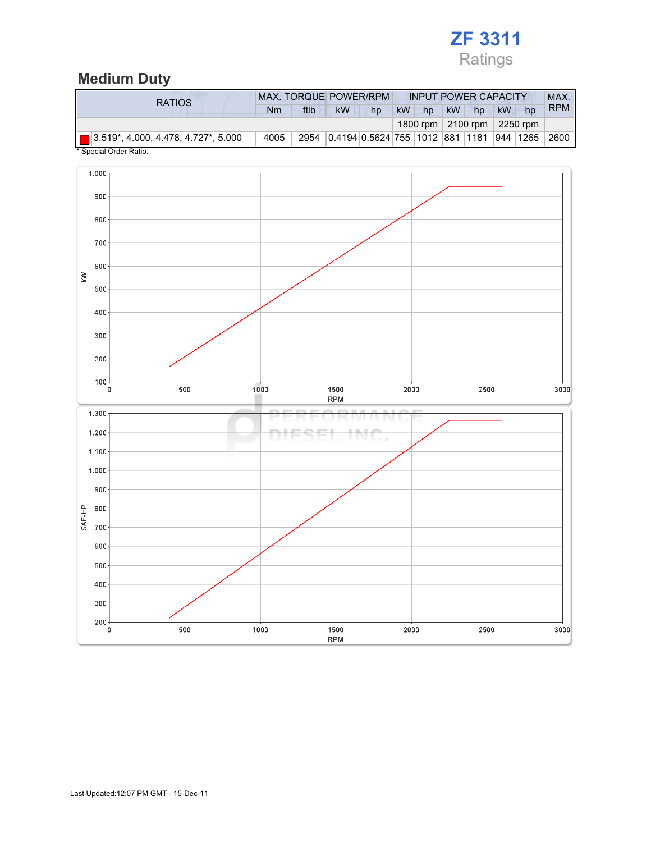## ZF 3311 Ratings

### Medium Duty

| <b>RATIOS</b>                                      | <b>MAX. TORQUE POWER/RPM</b> |      |    |    |           | <b>INPUT POWER CAPACITY</b> |    |    |                                               |            |  |
|----------------------------------------------------|------------------------------|------|----|----|-----------|-----------------------------|----|----|-----------------------------------------------|------------|--|
|                                                    | Nm                           | ftlb | kW | hp | <b>kW</b> | hp                          | kW | hp | kW<br>hp                                      | <b>RPM</b> |  |
|                                                    |                              |      |    |    |           |                             |    |    | 1800 rpm   2100 rpm   2250 rpm                |            |  |
| $\blacksquare$ 3.519*, 4.000, 4.478, 4.727*, 5.000 | 4005                         |      |    |    |           |                             |    |    | 2954 0.4194 0.5624 755 1012 881 1181 944 1265 | 2600       |  |

Special Order Ratio.

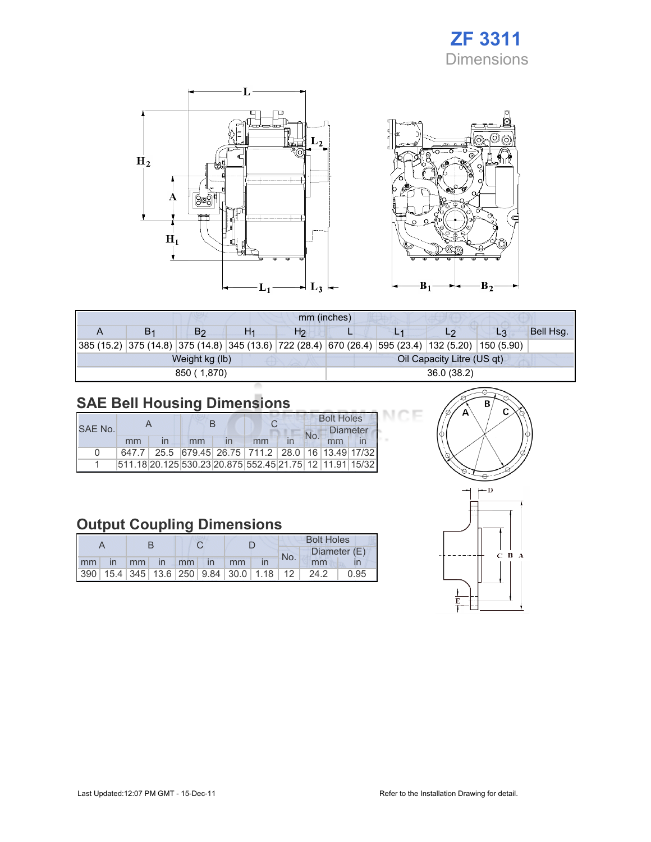## ZF 3311 Dimensions





| mm (inches) |                |                |  |                |                            |  |                                                                                                    |                |           |  |  |
|-------------|----------------|----------------|--|----------------|----------------------------|--|----------------------------------------------------------------------------------------------------|----------------|-----------|--|--|
|             | B <sub>1</sub> | B <sub>2</sub> |  | H <sub>2</sub> |                            |  | L2                                                                                                 | L <sub>3</sub> | Bell Hsq. |  |  |
|             |                |                |  |                |                            |  | 385 (15.2) 375 (14.8) 375 (14.8) 345 (13.6) 722 (28.4) 670 (26.4) 595 (23.4) 132 (5.20) 150 (5.90) |                |           |  |  |
|             |                | Weight kg (lb) |  |                | Oil Capacity Litre (US qt) |  |                                                                                                    |                |           |  |  |
|             |                | 850 (1,870)    |  |                | 36.0(38.2)                 |  |                                                                                                    |                |           |  |  |

## SAE Bell Housing Dimensions

| SAE No. |    |                         |    |  |                                                         |  | <b>Bolt Holes</b><br><b>Diameter</b><br>No. |    |  |
|---------|----|-------------------------|----|--|---------------------------------------------------------|--|---------------------------------------------|----|--|
|         | mm | $\overline{\mathsf{I}}$ | mm |  | mm                                                      |  |                                             | mm |  |
|         |    |                         |    |  | 647.7 25.5 679.45 26.75 711.2 28.0 16 13.49 17/32       |  |                                             |    |  |
|         |    |                         |    |  | 511.18 20.125 530.23 20.875 552.45 21.75 12 11.91 15/32 |  |                                             |    |  |

### Output Coupling Dimensions

|    |      |                   |          |  |  | <b>Bolt Holes</b>                                       |  |     |      |              |
|----|------|-------------------|----------|--|--|---------------------------------------------------------|--|-----|------|--------------|
|    |      |                   |          |  |  |                                                         |  | No. |      | Diameter (E) |
| mm | - in | $\blacksquare$ mm | in mm in |  |  | <sub>mm</sub>                                           |  |     | mm   |              |
|    |      |                   |          |  |  | 390   15.4   345   13.6   250   9.84   30.0   1.18   12 |  |     | 24.2 | 0.95         |